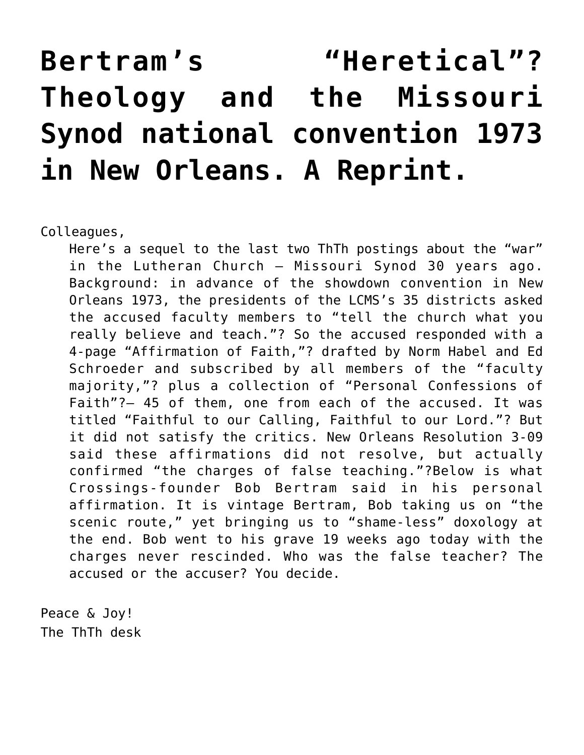## **[Bertram's "Heretical"?](https://crossings.org/bertrams-heretical-theology-and-the-missouri-synod-national-convention-1973-in-new-orleans-a-reprint/) [Theology and the Missouri](https://crossings.org/bertrams-heretical-theology-and-the-missouri-synod-national-convention-1973-in-new-orleans-a-reprint/) [Synod national convention 1973](https://crossings.org/bertrams-heretical-theology-and-the-missouri-synod-national-convention-1973-in-new-orleans-a-reprint/) [in New Orleans. A Reprint.](https://crossings.org/bertrams-heretical-theology-and-the-missouri-synod-national-convention-1973-in-new-orleans-a-reprint/)**

Colleagues,

Here's a sequel to the last two ThTh postings about the "war" in the Lutheran Church – Missouri Synod 30 years ago. Background: in advance of the showdown convention in New Orleans 1973, the presidents of the LCMS's 35 districts asked the accused faculty members to "tell the church what you really believe and teach."? So the accused responded with a 4-page "Affirmation of Faith,"? drafted by Norm Habel and Ed Schroeder and subscribed by all members of the "faculty majority,"? plus a collection of "Personal Confessions of Faith"?– 45 of them, one from each of the accused. It was titled "Faithful to our Calling, Faithful to our Lord."? But it did not satisfy the critics. New Orleans Resolution 3-09 said these affirmations did not resolve, but actually confirmed "the charges of false teaching."?Below is what Crossings-founder Bob Bertram said in his personal affirmation. It is vintage Bertram, Bob taking us on "the scenic route," yet bringing us to "shame-less" doxology at the end. Bob went to his grave 19 weeks ago today with the charges never rescinded. Who was the false teacher? The accused or the accuser? You decide.

Peace & Joy! The ThTh desk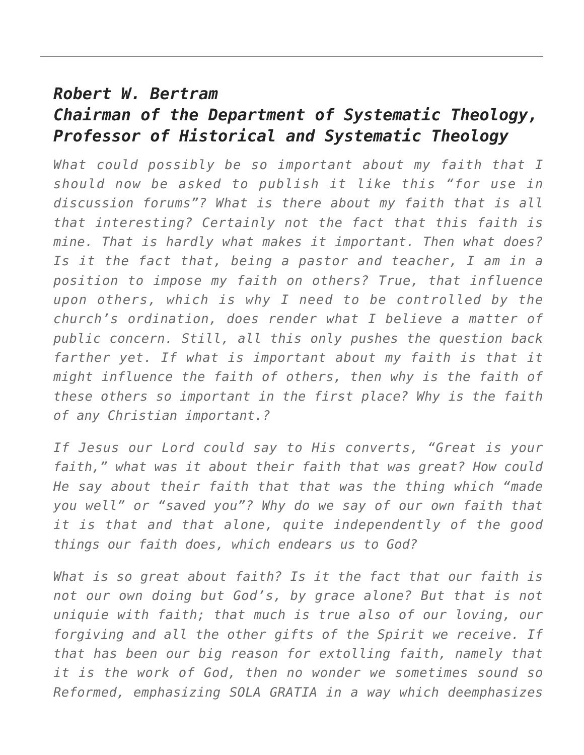## *Robert W. Bertram Chairman of the Department of Systematic Theology, Professor of Historical and Systematic Theology*

*What could possibly be so important about my faith that I should now be asked to publish it like this "for use in discussion forums"? What is there about my faith that is all that interesting? Certainly not the fact that this faith is mine. That is hardly what makes it important. Then what does? Is it the fact that, being a pastor and teacher, I am in a position to impose my faith on others? True, that influence upon others, which is why I need to be controlled by the church's ordination, does render what I believe a matter of public concern. Still, all this only pushes the question back farther yet. If what is important about my faith is that it might influence the faith of others, then why is the faith of these others so important in the first place? Why is the faith of any Christian important.?*

*If Jesus our Lord could say to His converts, "Great is your faith," what was it about their faith that was great? How could He say about their faith that that was the thing which "made you well" or "saved you"? Why do we say of our own faith that it is that and that alone, quite independently of the good things our faith does, which endears us to God?*

*What is so great about faith? Is it the fact that our faith is not our own doing but God's, by grace alone? But that is not uniquie with faith; that much is true also of our loving, our forgiving and all the other gifts of the Spirit we receive. If that has been our big reason for extolling faith, namely that it is the work of God, then no wonder we sometimes sound so Reformed, emphasizing SOLA GRATIA in a way which deemphasizes*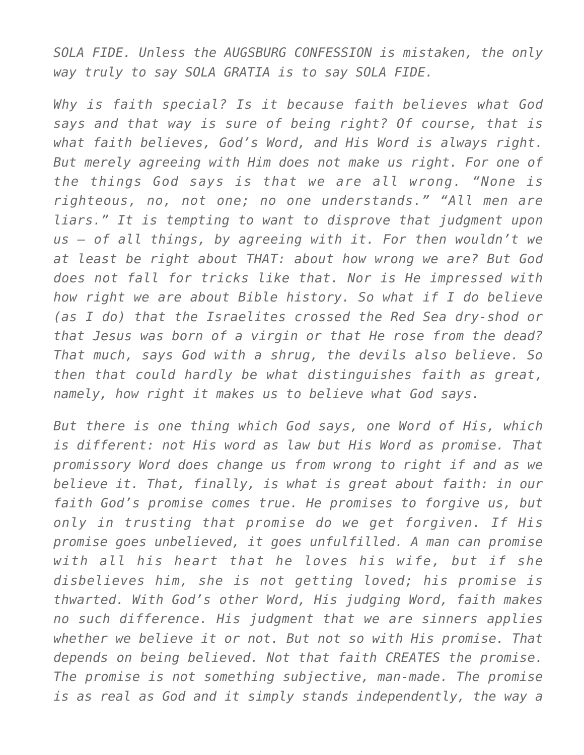*SOLA FIDE. Unless the AUGSBURG CONFESSION is mistaken, the only way truly to say SOLA GRATIA is to say SOLA FIDE.*

*Why is faith special? Is it because faith believes what God says and that way is sure of being right? Of course, that is what faith believes, God's Word, and His Word is always right. But merely agreeing with Him does not make us right. For one of the things God says is that we are all wrong. "None is righteous, no, not one; no one understands." "All men are liars." It is tempting to want to disprove that judgment upon us — of all things, by agreeing with it. For then wouldn't we at least be right about THAT: about how wrong we are? But God does not fall for tricks like that. Nor is He impressed with how right we are about Bible history. So what if I do believe (as I do) that the Israelites crossed the Red Sea dry-shod or that Jesus was born of a virgin or that He rose from the dead? That much, says God with a shrug, the devils also believe. So then that could hardly be what distinguishes faith as great, namely, how right it makes us to believe what God says.*

*But there is one thing which God says, one Word of His, which is different: not His word as law but His Word as promise. That promissory Word does change us from wrong to right if and as we believe it. That, finally, is what is great about faith: in our faith God's promise comes true. He promises to forgive us, but only in trusting that promise do we get forgiven. If His promise goes unbelieved, it goes unfulfilled. A man can promise with all his heart that he loves his wife, but if she disbelieves him, she is not getting loved; his promise is thwarted. With God's other Word, His judging Word, faith makes no such difference. His judgment that we are sinners applies whether we believe it or not. But not so with His promise. That depends on being believed. Not that faith CREATES the promise. The promise is not something subjective, man-made. The promise is as real as God and it simply stands independently, the way a*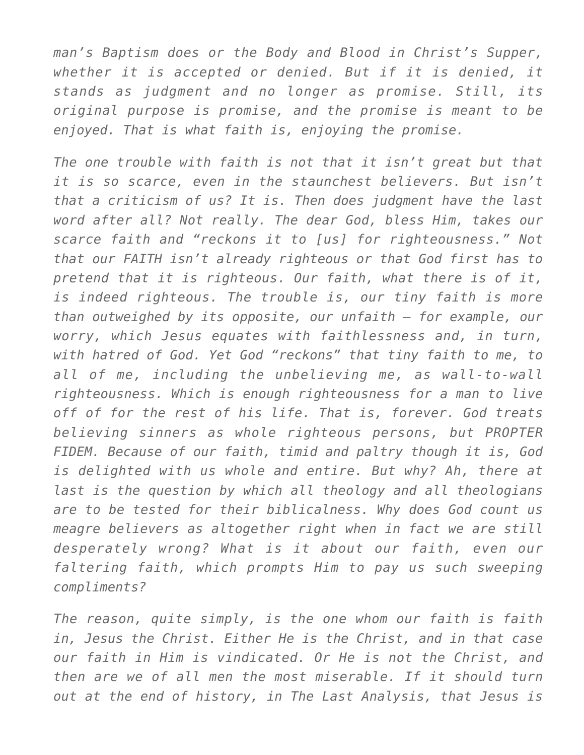*man's Baptism does or the Body and Blood in Christ's Supper, whether it is accepted or denied. But if it is denied, it stands as judgment and no longer as promise. Still, its original purpose is promise, and the promise is meant to be enjoyed. That is what faith is, enjoying the promise.*

*The one trouble with faith is not that it isn't great but that it is so scarce, even in the staunchest believers. But isn't that a criticism of us? It is. Then does judgment have the last word after all? Not really. The dear God, bless Him, takes our scarce faith and "reckons it to [us] for righteousness." Not that our FAITH isn't already righteous or that God first has to pretend that it is righteous. Our faith, what there is of it, is indeed righteous. The trouble is, our tiny faith is more than outweighed by its opposite, our unfaith — for example, our worry, which Jesus equates with faithlessness and, in turn, with hatred of God. Yet God "reckons" that tiny faith to me, to all of me, including the unbelieving me, as wall-to-wall righteousness. Which is enough righteousness for a man to live off of for the rest of his life. That is, forever. God treats believing sinners as whole righteous persons, but PROPTER FIDEM. Because of our faith, timid and paltry though it is, God is delighted with us whole and entire. But why? Ah, there at last is the question by which all theology and all theologians are to be tested for their biblicalness. Why does God count us meagre believers as altogether right when in fact we are still desperately wrong? What is it about our faith, even our faltering faith, which prompts Him to pay us such sweeping compliments?*

*The reason, quite simply, is the one whom our faith is faith in, Jesus the Christ. Either He is the Christ, and in that case our faith in Him is vindicated. Or He is not the Christ, and then are we of all men the most miserable. If it should turn out at the end of history, in The Last Analysis, that Jesus is*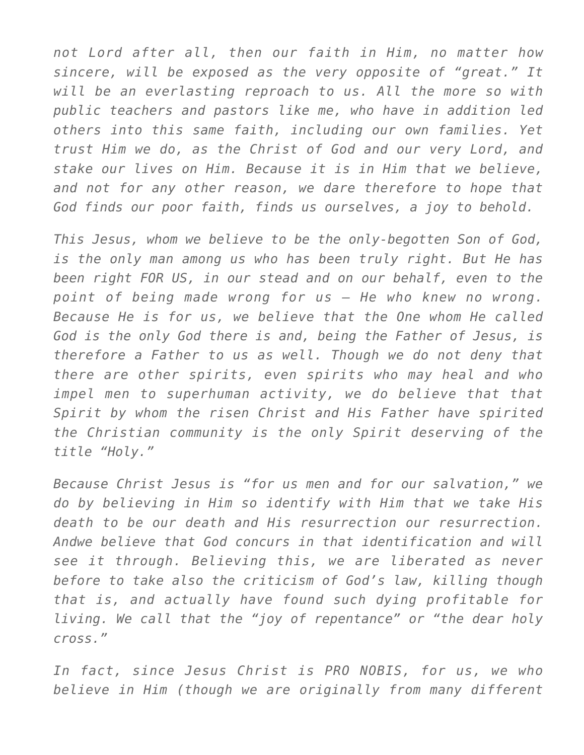*not Lord after all, then our faith in Him, no matter how sincere, will be exposed as the very opposite of "great." It will be an everlasting reproach to us. All the more so with public teachers and pastors like me, who have in addition led others into this same faith, including our own families. Yet trust Him we do, as the Christ of God and our very Lord, and stake our lives on Him. Because it is in Him that we believe, and not for any other reason, we dare therefore to hope that God finds our poor faith, finds us ourselves, a joy to behold.*

*This Jesus, whom we believe to be the only-begotten Son of God, is the only man among us who has been truly right. But He has been right FOR US, in our stead and on our behalf, even to the point of being made wrong for us — He who knew no wrong. Because He is for us, we believe that the One whom He called God is the only God there is and, being the Father of Jesus, is therefore a Father to us as well. Though we do not deny that there are other spirits, even spirits who may heal and who impel men to superhuman activity, we do believe that that Spirit by whom the risen Christ and His Father have spirited the Christian community is the only Spirit deserving of the title "Holy."*

*Because Christ Jesus is "for us men and for our salvation," we do by believing in Him so identify with Him that we take His death to be our death and His resurrection our resurrection. Andwe believe that God concurs in that identification and will see it through. Believing this, we are liberated as never before to take also the criticism of God's law, killing though that is, and actually have found such dying profitable for living. We call that the "joy of repentance" or "the dear holy cross."*

*In fact, since Jesus Christ is PRO NOBIS, for us, we who believe in Him (though we are originally from many different*